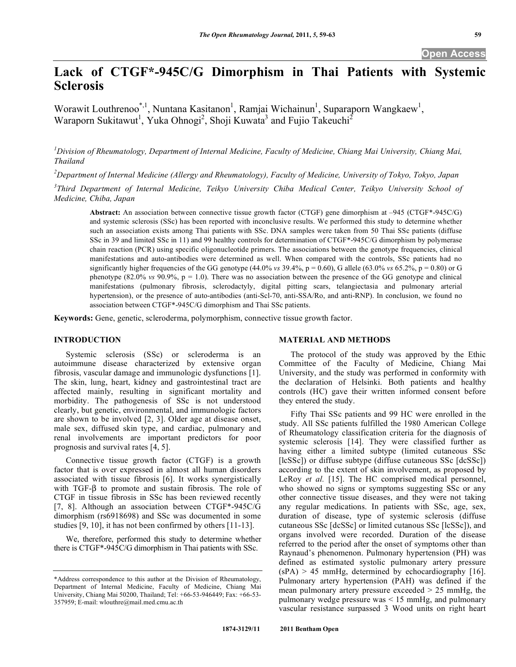# **Lack of CTGF\*-945C/G Dimorphism in Thai Patients with Systemic Sclerosis**

Worawit Louthrenoo\*,<sup>1</sup>, Nuntana Kasitanon<sup>1</sup>, Ramjai Wichainun<sup>1</sup>, Suparaporn Wangkaew<sup>1</sup>, Waraporn Sukitawut<sup>1</sup>, Yuka Ohnogi<sup>2</sup>, Shoji Kuwata<sup>3</sup> and Fujio Takeuchi<sup>2</sup>

*1 Division of Rheumatology, Department of Internal Medicine, Faculty of Medicine, Chiang Mai University, Chiang Mai, Thailand* 

*2 Department of Internal Medicine (Allergy and Rheumatology), Faculty of Medicine, University of Tokyo, Tokyo, Japan* 

<sup>3</sup> Third Department of Internal Medicine, Teikyo University Chiba Medical Center, Teikyo University School of *Medicine, Chiba, Japan* 

**Abstract:** An association between connective tissue growth factor (CTGF) gene dimorphism at –945 (CTGF\*-945C/G) and systemic sclerosis (SSc) has been reported with inconclusive results. We performed this study to determine whether such an association exists among Thai patients with SSc. DNA samples were taken from 50 Thai SSc patients (diffuse SSc in 39 and limited SSc in 11) and 99 healthy controls for determination of CTGF\*-945C/G dimorphism by polymerase chain reaction (PCR) using specific oligonucleotide primers. The associations between the genotype frequencies, clinical manifestations and auto-antibodies were determined as well. When compared with the controls, SSc patients had no significantly higher frequencies of the GG genotype  $(44.0\% \text{ vs } 39.4\% , p = 0.60)$ , G allele  $(63.0\% \text{ vs } 65.2\% , p = 0.80)$  or G phenotype (82.0% *vs* 90.9%, p = 1.0). There was no association between the presence of the GG genotype and clinical manifestations (pulmonary fibrosis, sclerodactyly, digital pitting scars, telangiectasia and pulmonary arterial hypertension), or the presence of auto-antibodies (anti-Scl-70, anti-SSA/Ro, and anti-RNP). In conclusion, we found no association between CTGF\*-945C/G dimorphism and Thai SSc patients.

**Keywords:** Gene, genetic, scleroderma, polymorphism, connective tissue growth factor.

#### **INTRODUCTION**

Systemic sclerosis (SSc) or scleroderma is an autoimmune disease characterized by extensive organ fibrosis, vascular damage and immunologic dysfunctions [1]. The skin, lung, heart, kidney and gastrointestinal tract are affected mainly, resulting in significant mortality and morbidity. The pathogenesis of SSc is not understood clearly, but genetic, environmental, and immunologic factors are shown to be involved [2, 3]. Older age at disease onset, male sex, diffused skin type, and cardiac, pulmonary and renal involvements are important predictors for poor prognosis and survival rates [4, 5].

 Connective tissue growth factor (CTGF) is a growth factor that is over expressed in almost all human disorders associated with tissue fibrosis [6]. It works synergistically with  $TGF-\beta$  to promote and sustain fibrosis. The role of CTGF in tissue fibrosis in SSc has been reviewed recently [7, 8]. Although an association between CTGF\*-945C/G dimorphism (rs6918698) and SSc was documented in some studies [9, 10], it has not been confirmed by others [11-13].

 We, therefore, performed this study to determine whether there is CTGF\*-945C/G dimorphism in Thai patients with SSc.

### **MATERIAL AND METHODS**

 The protocol of the study was approved by the Ethic Committee of the Faculty of Medicine, Chiang Mai University, and the study was performed in conformity with the declaration of Helsinki. Both patients and healthy controls (HC) gave their written informed consent before they entered the study.

 Fifty Thai SSc patients and 99 HC were enrolled in the study. All SSc patients fulfilled the 1980 American College of Rheumatology classification criteria for the diagnosis of systemic sclerosis [14]. They were classified further as having either a limited subtype (limited cutaneous SSc [lcSSc]) or diffuse subtype (diffuse cutaneous SSc [dcSSc]) according to the extent of skin involvement, as proposed by LeRoy *et al.* [15]. The HC comprised medical personnel, who showed no signs or symptoms suggesting SSc or any other connective tissue diseases, and they were not taking any regular medications. In patients with SSc, age, sex, duration of disease, type of systemic sclerosis (diffuse cutaneous SSc [dcSSc] or limited cutanous SSc [lcSSc]), and organs involved were recorded. Duration of the disease referred to the period after the onset of symptoms other than Raynaud's phenomenon. Pulmonary hypertension (PH) was defined as estimated systolic pulmonary artery pressure  $(sPA) > 45$  mmHg, determined by echocardiography [16]. Pulmonary artery hypertension (PAH) was defined if the mean pulmonary artery pressure exceeded > 25 mmHg, the pulmonary wedge pressure was < 15 mmHg, and pulmonary vascular resistance surpassed 3 Wood units on right heart

<sup>\*</sup>Address correspondence to this author at the Division of Rheumatology, Department of Internal Medicine, Faculty of Medicine, Chiang Mai University, Chiang Mai 50200, Thailand; Tel: +66-53-946449; Fax: +66-53- 357959; E-mail: wlouthre@mail.med.cmu.ac.th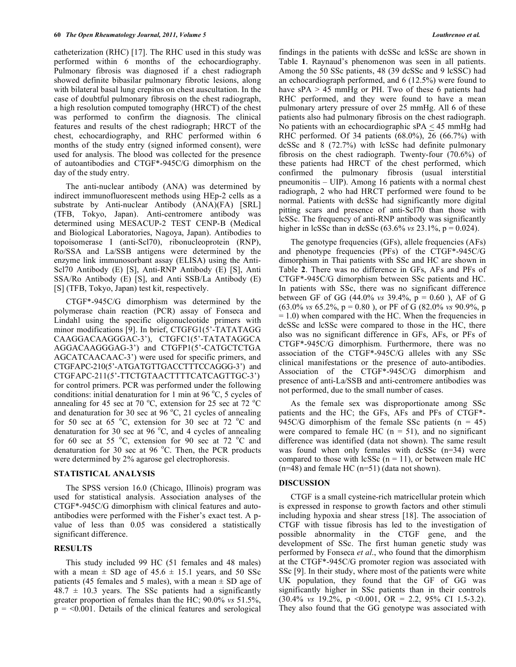catheterization (RHC) [17]. The RHC used in this study was performed within 6 months of the echocardiography. Pulmonary fibrosis was diagnosed if a chest radiograph showed definite bibasilar pulmonary fibrotic lesions, along with bilateral basal lung crepitus on chest auscultation. In the case of doubtful pulmonary fibrosis on the chest radiograph, a high resolution computed tomography (HRCT) of the chest was performed to confirm the diagnosis. The clinical features and results of the chest radiograph; HRCT of the chest, echocardiography, and RHC performed within 6 months of the study entry (signed informed consent), were used for analysis. The blood was collected for the presence of autoantibodies and CTGF\*-945C/G dimorphism on the day of the study entry.

 The anti-nuclear antibody (ANA) was determined by indirect immunofluorescent methods using HEp-2 cells as a substrate by Anti-nuclear Antibody (ANA)(FA) [SRL] (TFB, Tokyo, Japan). Anti-centromere antibody was determined using MESACUP-2 TEST CENP-B (Medical and Biological Laboratories, Nagoya, Japan). Antibodies to topoisomerase I (anti-Scl70), ribonucleoprotein (RNP), Ro/SSA and La/SSB antigens were determined by the enzyme link immunosorbant assay (ELISA) using the Anti-Scl70 Antibody (E) [S], Anti-RNP Antibody (E) [S], Anti SSA/Ro Antibody (E) [S], and Anti SSB/La Antibody (E) [S] (TFB, Tokyo, Japan) test kit, respectively.

 CTGF\*-945C/G dimorphism was determined by the polymerase chain reaction (PCR) assay of Fonseca and Lindahl using the specific oligonucleotide primers with minor modifications [9]. In brief, CTGFG1(5'-TATATAGG CAAGGACAAGGGAC-3'), CTGFC1(5'-TATATAGGCA AGGACAAGGGAG-3') and CTGFP1(5'-CATGCTCTGA AGCATCAACAAC-3') were used for specific primers, and CTGFAPC-210(5'-ATGATGTTGACCTTTCCAGGG-3') and CTGFAPC-211(5'-TTCTGTAACTTTTCATCAGTTGC-3') for control primers. PCR was performed under the following conditions: initial denaturation for 1 min at 96  $\degree$ C, 5 cycles of annealing for 45 sec at 70 °C, extension for 25 sec at 72 °C and denaturation for 30 sec at 96  $^{\circ}$ C, 21 cycles of annealing for 50 sec at 65  $\degree$ C, extension for 30 sec at 72  $\degree$ C and denaturation for 30 sec at 96  $^{\circ}$ C, and 4 cycles of annealing for 60 sec at 55  $\degree$ C, extension for 90 sec at 72  $\degree$ C and denaturation for 30 sec at 96  $^{\circ}$ C. Then, the PCR products were determined by 2% agarose gel electrophoresis.

## **STATISTICAL ANALYSIS**

 The SPSS version 16.0 (Chicago, Illinois) program was used for statistical analysis. Association analyses of the CTGF\*-945C/G dimorphism with clinical features and autoantibodies were performed with the Fisher's exact test. A pvalue of less than 0.05 was considered a statistically significant difference.

# **RESULTS**

 This study included 99 HC (51 females and 48 males) with a mean  $\pm$  SD age of 45.6  $\pm$  15.1 years, and 50 SSc patients (45 females and 5 males), with a mean  $\pm$  SD age of  $48.7 \pm 10.3$  years. The SSc patients had a significantly greater proportion of females than the HC; 90.0% *vs* 51.5%,  $p = 0.001$ . Details of the clinical features and serological

findings in the patients with dcSSc and lcSSc are shown in Table **1**. Raynaud's phenomenon was seen in all patients. Among the 50 SSc patients, 48 (39 dcSSc and 9 lcSSC) had an echocardiograph performed, and 6 (12.5%) were found to have  $sPA > 45$  mmHg or PH. Two of these 6 patients had RHC performed, and they were found to have a mean pulmonary artery pressure of over 25 mmHg. All 6 of these patients also had pulmonary fibrosis on the chest radiograph. No patients with an echocardiographic  $sPA < 45$  mmHg had RHC performed. Of 34 patients (68.0%), 26 (66.7%) with dcSSc and 8 (72.7%) with lcSSc had definite pulmonary fibrosis on the chest radiograph. Twenty-four (70.6%) of these patients had HRCT of the chest performed, which confirmed the pulmonary fibrosis (usual interstitial pneumonitis – UIP). Among 16 patients with a normal chest radiograph, 2 who had HRCT performed were found to be normal. Patients with dcSSc had significantly more digital pitting scars and presence of anti-Scl70 than those with lcSSc. The frequency of anti-RNP antibody was significantly higher in lcSSc than in dcSSc (63.6% *vs* 23.1%, p = 0.024).

 The genotype frequencies (GFs), allele frequencies (AFs) and phenotype frequencies (PFs) of the CTGF\*-945C/G dimorphism in Thai patients with SSc and HC are shown in Table **2**. There was no difference in GFs, AFs and PFs of CTGF\*-945C/G dimorphism between SSc patients and HC. In patients with SSc, there was no significant difference between GF of GG  $(44.0\% \text{ vs } 39.4\% \text{, } p = 0.60 \text{)}$ , AF of G (63.0% *vs* 65.2%, p = 0.80 ), or PF of G (82.0% *vs* 90.9%, p  $= 1.0$ ) when compared with the HC. When the frequencies in dcSSc and lcSSc were compared to those in the HC, there also was no significant difference in GFs, AFs, or PFs of CTGF\*-945C/G dimorphism. Furthermore, there was no association of the CTGF\*-945C/G alleles with any SSc clinical manifestations or the presence of auto-antibodies. Association of the CTGF\*-945C/G dimorphism and presence of anti-La/SSB and anti-centromere antibodies was not performed, due to the small number of cases.

 As the female sex was disproportionate among SSc patients and the HC; the GFs, AFs and PFs of CTGF\*- 945C/G dimorphism of the female SSc patients  $(n = 45)$ were compared to female HC  $(n = 51)$ , and no significant difference was identified (data not shown). The same result was found when only females with dcSSc (n=34) were compared to those with lcSSc  $(n = 11)$ , or between male HC (n=48) and female HC (n=51) (data not shown).

#### **DISCUSSION**

 CTGF is a small cysteine-rich matricellular protein which is expressed in response to growth factors and other stimuli including hypoxia and shear stress [18]. The association of CTGF with tissue fibrosis has led to the investigation of possible abnormality in the CTGF gene, and the development of SSc. The first human genetic study was performed by Fonseca *et al*., who found that the dimorphism at the CTGF\*-945C/G promoter region was associated with SSc [9]. In their study, where most of the patients were white UK population, they found that the GF of GG was significantly higher in SSc patients than in their controls (30.4% *vs* 19.2%, p <0.001, OR = 2.2, 95% CI 1.5-3.2). They also found that the GG genotype was associated with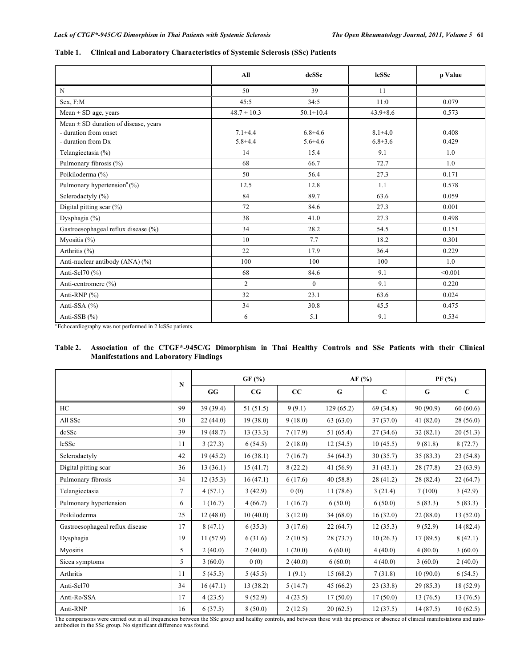|                                                                                         | All                        | dcSSc                        | <b>lcSSc</b>                   | p Value        |
|-----------------------------------------------------------------------------------------|----------------------------|------------------------------|--------------------------------|----------------|
| N                                                                                       | 50                         | 39                           | 11                             |                |
| Sex, F:M                                                                                | 45:5                       | 34:5                         | 11:0                           | 0.079          |
| $Mean \pm SD$ age, years                                                                | $48.7 \pm 10.3$            | $50.1 \pm 10.4$              | $43.9 \pm 8.6$                 | 0.573          |
| Mean $\pm$ SD duration of disease, years<br>- duration from onset<br>- duration from Dx | $7.1 + 4.4$<br>$5.8 + 4.4$ | $6.8 + 4.6$<br>$5.6 \pm 4.6$ | $8.1 \pm 4.0$<br>$6.8 \pm 3.6$ | 0.408<br>0.429 |
| Telangiectasia (%)                                                                      | 14                         | 15.4                         | 9.1                            | 1.0            |
| Pulmonary fibrosis (%)                                                                  | 68                         | 66.7                         | 72.7                           | 1.0            |
| Poikiloderma (%)                                                                        | 50                         | 56.4                         | 27.3                           | 0.171          |
| Pulmonary hypertension <sup>a</sup> (%)                                                 | 12.5                       | 12.8                         | 1.1                            | 0.578          |
| Sclerodactyly (%)                                                                       | 84                         | 89.7                         | 63.6                           | 0.059          |
| Digital pitting scar $(\%)$                                                             | 72                         | 84.6                         | 27.3                           | 0.001          |
| Dysphagia (%)                                                                           | 38                         | 41.0                         | 27.3                           | 0.498          |
| Gastroesophageal reflux disease (%)                                                     | 34                         | 28.2                         | 54.5                           | 0.151          |
| Myositis $(\% )$                                                                        | 10 <sup>1</sup>            | 7.7                          | 18.2                           | 0.301          |
| Arthritis $(\% )$                                                                       | 22                         | 17.9                         | 36.4                           | 0.229          |
| Anti-nuclear antibody (ANA) (%)                                                         | 100                        | 100                          | 100                            | 1.0            |
| Anti-Scl70 (%)                                                                          | 68                         | 84.6                         | 9.1                            | < 0.001        |
| Anti-centromere (%)                                                                     | $\overline{2}$             | $\overline{0}$               | 9.1                            | 0.220          |
| Anti-RNP (%)                                                                            | 32                         | 23.1                         | 63.6                           | 0.024          |
| Anti-SSA (%)                                                                            | 34                         | 30.8                         | 45.5                           | 0.475          |
| Anti-SSB $(%)$                                                                          | 6                          | 5.1                          | 9.1                            | 0.534          |

#### **Table 1. Clinical and Laboratory Characteristics of Systemic Sclerosis (SSc) Patients**

<sup>a</sup> Echocardiography was not performed in 2 lcSSc patients.

# **Table 2. Association of the CTGF\*-945C/G Dimorphism in Thai Healthy Controls and SSc Patients with their Clinical Manifestations and Laboratory Findings**

|                                 | N              | GF(%)    |           | AF (%)  |             | PF (%)      |           |             |
|---------------------------------|----------------|----------|-----------|---------|-------------|-------------|-----------|-------------|
|                                 |                | GG       | CG        | cc      | $\mathbf G$ | $\mathbf C$ | G         | $\mathbf C$ |
| HC                              | 99             | 39(39.4) | 51(51.5)  | 9(9.1)  | 129(65.2)   | 69 (34.8)   | 90(90.9)  | 60(60.6)    |
| All SSc                         | 50             | 22(44.0) | 19(38.0)  | 9(18.0) | 63(63.0)    | 37(37.0)    | 41(82.0)  | 28(56.0)    |
| dcSSc                           | 39             | 19(48.7) | 13(33.3)  | 7(17.9) | 51 (65.4)   | 27(34.6)    | 32(82.1)  | 20(51.3)    |
| <b>lcSSc</b>                    | 11             | 3(27.3)  | 6(54.5)   | 2(18.0) | 12(54.5)    | 10(45.5)    | 9(81.8)   | 8(72.7)     |
| Sclerodactyly                   | 42             | 19(45.2) | 16(38.1)  | 7(16.7) | 54(64.3)    | 30(35.7)    | 35(83.3)  | 23(54.8)    |
| Digital pitting scar            | 36             | 13(36.1) | 15(41.7)  | 8(22.2) | 41(56.9)    | 31(43.1)    | 28(77.8)  | 23(63.9)    |
| Pulmonary fibrosis              | 34             | 12(35.3) | 16(47.1)  | 6(17.6) | 40(58.8)    | 28(41.2)    | 28 (82.4) | 22(64.7)    |
| Telangiectasia                  | $\overline{7}$ | 4(57.1)  | 3(42.9)   | 0(0)    | 11(78.6)    | 3(21.4)     | 7(100)    | 3(42.9)     |
| Pulmonary hypertension          | 6              | 1(16.7)  | 4(66.7)   | 1(16.7) | 6(50.0)     | 6(50.0)     | 5(83.3)   | 5(83.3)     |
| Poikiloderma                    | 25             | 12(48.0) | 10(40.0)  | 3(12.0) | 34(68.0)    | 16(32.0)    | 22(88.0)  | 13(52.0)    |
| Gastroesophageal reflux disease | 17             | 8(47.1)  | 6(35.3)   | 3(17.6) | 22(64.7)    | 12(35.3)    | 9(52.9)   | 14 (82.4)   |
| Dysphagia                       | 19             | 11(57.9) | 6(31.6)   | 2(10.5) | 28(73.7)    | 10(26.3)    | 17(89.5)  | 8(42.1)     |
| Myositis                        | 5              | 2(40.0)  | 2(40.0)   | 1(20.0) | 6(60.0)     | 4(40.0)     | 4(80.0)   | 3(60.0)     |
| Sicca symptoms                  | 5              | 3(60.0)  | 0(0)      | 2(40.0) | 6(60.0)     | 4(40.0)     | 3(60.0)   | 2(40.0)     |
| <b>Arthritis</b>                | 11             | 5(45.5)  | 5(45.5)   | 1(9.1)  | 15(68.2)    | 7(31.8)     | 10(90.0)  | 6(54.5)     |
| Anti-Scl70                      | 34             | 16(47.1) | 13 (38.2) | 5(14.7) | 45(66.2)    | 23(33.8)    | 29(85.3)  | 18 (52.9)   |
| Anti-Ro/SSA                     | 17             | 4(23.5)  | 9(52.9)   | 4(23.5) | 17(50.0)    | 17(50.0)    | 13(76.5)  | 13(76.5)    |
| Anti-RNP                        | 16             | 6(37.5)  | 8(50.0)   | 2(12.5) | 20(62.5)    | 12(37.5)    | 14(87.5)  | 10(62.5)    |

The comparisons were carried out in all frequencies between the SSc group and healthy controls, and between those with the presence or absence of clinical manifestations and auto-<br>antibodies in the SSc group. No significan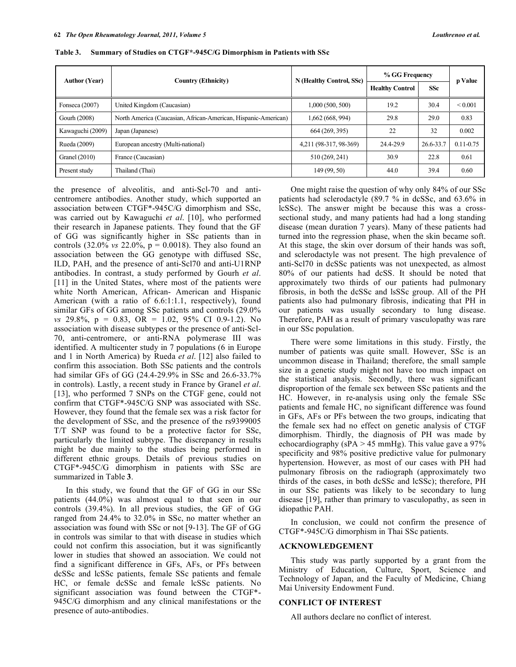| <b>Author (Year)</b> | <b>Country (Ethnicity)</b>                                     | N (Healthy Control, SSc) | % GG Frequency         |            | p Value       |
|----------------------|----------------------------------------------------------------|--------------------------|------------------------|------------|---------------|
|                      |                                                                |                          | <b>Healthy Control</b> | <b>SSc</b> |               |
| Fonseca $(2007)$     | United Kingdom (Caucasian)                                     | 1,000 (500, 500)         | 19.2                   | 30.4       | ${}_{0.001}$  |
| Gourh (2008)         | North America (Caucasian, African-American, Hispanic-American) | 1,662 (668, 994)         | 29.8                   | 29.0       | 0.83          |
| Kawaguchi (2009)     | Japan (Japanese)                                               | 664 (269, 395)           | 22                     | 32         | 0.002         |
| Rueda (2009)         | European ancestry (Multi-national)                             | 4,211 (98-317, 98-369)   | 24.4-29.9              | 26.6-33.7  | $0.11 - 0.75$ |
| Granel $(2010)$      | France (Caucasian)                                             | 510 (269, 241)           | 30.9                   | 22.8       | 0.61          |
| Present study        | Thailand (Thai)                                                | 149 (99, 50)             | 44.0                   | 39.4       | 0.60          |

**Table 3. Summary of Studies on CTGF\*-945C/G Dimorphism in Patients with SSc** 

the presence of alveolitis, and anti-Scl-70 and anticentromere antibodies. Another study, which supported an association between CTGF\*-945C/G dimorphism and SSc, was carried out by Kawaguchi *et al*. [10], who performed their research in Japanese patients. They found that the GF of GG was significantly higher in SSc patients than in controls (32.0% *vs* 22.0%, p = 0.0018). They also found an association between the GG genotype with diffused SSc, ILD, PAH, and the presence of anti-Scl70 and anti-U1RNP antibodies. In contrast, a study performed by Gourh *et al*. [11] in the United States, where most of the patients were white North American, African- American and Hispanic American (with a ratio of 6.6:1:1.1, respectively), found similar GFs of GG among SSc patients and controls (29.0% *vs* 29.8%, p = 0.83, OR = 1.02, 95% CI 0.9-1.2). No association with disease subtypes or the presence of anti-Scl-70, anti-centromere, or anti-RNA polymerase III was identified. A multicenter study in 7 populations (6 in Europe and 1 in North America) by Rueda *et al*. [12] also failed to confirm this association. Both SSc patients and the controls had similar GFs of GG (24.4-29.9% in SSc and 26.6-33.7% in controls). Lastly, a recent study in France by Granel *et al*. [13], who performed 7 SNPs on the CTGF gene, could not confirm that CTGF\*-945C/G SNP was associated with SSc. However, they found that the female sex was a risk factor for the development of SSc, and the presence of the rs9399005 T/T SNP was found to be a protective factor for SSc, particularly the limited subtype. The discrepancy in results might be due mainly to the studies being performed in different ethnic groups. Details of previous studies on CTGF\*-945C/G dimorphism in patients with SSc are summarized in Table **3**.

 In this study, we found that the GF of GG in our SSc patients (44.0%) was almost equal to that seen in our controls (39.4%). In all previous studies, the GF of GG ranged from 24.4% to 32.0% in SSc, no matter whether an association was found with SSc or not [9-13]. The GF of GG in controls was similar to that with disease in studies which could not confirm this association, but it was significantly lower in studies that showed an association. We could not find a significant difference in GFs, AFs, or PFs between dcSSc and lcSSc patients, female SSc patients and female HC, or female dcSSc and female lcSSc patients. No significant association was found between the CTGF\*- 945C/G dimorphism and any clinical manifestations or the presence of auto-antibodies.

 One might raise the question of why only 84% of our SSc patients had sclerodactyle (89.7 % in dcSSc, and 63.6% in lcSSc). The answer might be because this was a crosssectional study, and many patients had had a long standing disease (mean duration 7 years). Many of these patients had turned into the regression phase, when the skin became soft. At this stage, the skin over dorsum of their hands was soft, and sclerodactyle was not present. The high prevalence of anti-Scl70 in dcSSc patients was not unexpected, as almost 80% of our patients had dcSS. It should be noted that approximately two thirds of our patients had pulmonary fibrosis, in both the dcSSc and lsSSc group. All of the PH patients also had pulmonary fibrosis, indicating that PH in our patients was usually secondary to lung disease. Therefore, PAH as a result of primary vasculopathy was rare in our SSc population.

 There were some limitations in this study. Firstly, the number of patients was quite small. However, SSc is an uncommon disease in Thailand; therefore, the small sample size in a genetic study might not have too much impact on the statistical analysis. Secondly, there was significant disproportion of the female sex between SSc patients and the HC. However, in re-analysis using only the female SSc patients and female HC, no significant difference was found in GFs, AFs or PFs between the two groups, indicating that the female sex had no effect on genetic analysis of CTGF dimorphism. Thirdly, the diagnosis of PH was made by echocardiography ( $sPA > 45$  mmHg). This value gave a 97% specificity and 98% positive predictive value for pulmonary hypertension. However, as most of our cases with PH had pulmonary fibrosis on the radiograph (approximately two thirds of the cases, in both dcSSc and lcSSc); therefore, PH in our SSc patients was likely to be secondary to lung disease [19], rather than primary to vasculopathy, as seen in idiopathic PAH.

 In conclusion, we could not confirm the presence of CTGF\*-945C/G dimorphism in Thai SSc patients.

#### **ACKNOWLEDGEMENT**

 This study was partly supported by a grant from the Ministry of Education, Culture, Sport, Science and Technology of Japan, and the Faculty of Medicine, Chiang Mai University Endowment Fund.

### **CONFLICT OF INTEREST**

All authors declare no conflict of interest.